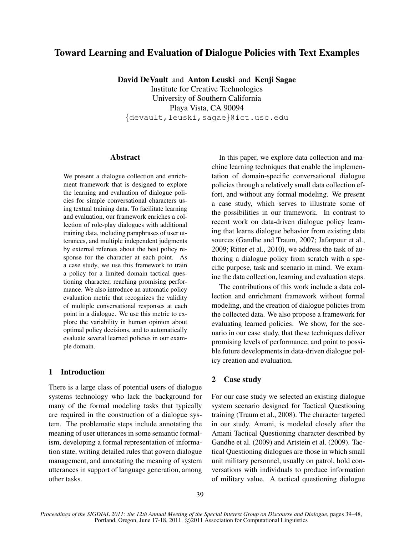# Toward Learning and Evaluation of Dialogue Policies with Text Examples

David DeVault and Anton Leuski and Kenji Sagae

Institute for Creative Technologies University of Southern California Playa Vista, CA 90094 {devault,leuski,sagae}@ict.usc.edu

#### Abstract

We present a dialogue collection and enrichment framework that is designed to explore the learning and evaluation of dialogue policies for simple conversational characters using textual training data. To facilitate learning and evaluation, our framework enriches a collection of role-play dialogues with additional training data, including paraphrases of user utterances, and multiple independent judgments by external referees about the best policy response for the character at each point. As a case study, we use this framework to train a policy for a limited domain tactical questioning character, reaching promising performance. We also introduce an automatic policy evaluation metric that recognizes the validity of multiple conversational responses at each point in a dialogue. We use this metric to explore the variability in human opinion about optimal policy decisions, and to automatically evaluate several learned policies in our example domain.

# 1 Introduction

There is a large class of potential users of dialogue systems technology who lack the background for many of the formal modeling tasks that typically are required in the construction of a dialogue system. The problematic steps include annotating the meaning of user utterances in some semantic formalism, developing a formal representation of information state, writing detailed rules that govern dialogue management, and annotating the meaning of system utterances in support of language generation, among other tasks.

In this paper, we explore data collection and machine learning techniques that enable the implementation of domain-specific conversational dialogue policies through a relatively small data collection effort, and without any formal modeling. We present a case study, which serves to illustrate some of the possibilities in our framework. In contrast to recent work on data-driven dialogue policy learning that learns dialogue behavior from existing data sources (Gandhe and Traum, 2007; Jafarpour et al., 2009; Ritter et al., 2010), we address the task of authoring a dialogue policy from scratch with a specific purpose, task and scenario in mind. We examine the data collection, learning and evaluation steps.

The contributions of this work include a data collection and enrichment framework without formal modeling, and the creation of dialogue policies from the collected data. We also propose a framework for evaluating learned policies. We show, for the scenario in our case study, that these techniques deliver promising levels of performance, and point to possible future developments in data-driven dialogue policy creation and evaluation.

### 2 Case study

For our case study we selected an existing dialogue system scenario designed for Tactical Questioning training (Traum et al., 2008). The character targeted in our study, Amani, is modeled closely after the Amani Tactical Questioning character described by Gandhe et al. (2009) and Artstein et al. (2009). Tactical Questioning dialogues are those in which small unit military personnel, usually on patrol, hold conversations with individuals to produce information of military value. A tactical questioning dialogue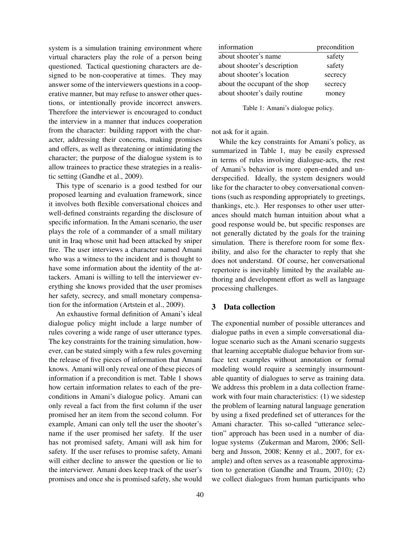system is a simulation training environment where virtual characters play the role of a person being questioned. Tactical questioning characters are designed to be non-cooperative at times. They may answer some of the interviewers questions in a cooperative manner, but may refuse to answer other questions, or intentionally provide incorrect answers. Therefore the interviewer is encouraged to conduct the interview in a manner that induces cooperation from the character: building rapport with the character, addressing their concerns, making promises and offers, as well as threatening or intimidating the character; the purpose of the dialogue system is to allow trainees to practice these strategies in a realistic setting (Gandhe et al., 2009).

This type of scenario is a good testbed for our proposed learning and evaluation framework, since it involves both flexible conversational choices and well-defined constraints regarding the disclosure of specific information. In the Amani scenario, the user plays the role of a commander of a small military unit in Iraq whose unit had been attacked by sniper fire. The user interviews a character named Amani who was a witness to the incident and is thought to have some information about the identity of the attackers. Amani is willing to tell the interviewer everything she knows provided that the user promises her safety, secrecy, and small monetary compensation for the information (Artstein et al., 2009).

An exhaustive formal definition of Amani's ideal dialogue policy might include a large number of rules covering a wide range of user utterance types. The key constraints for the training simulation, however, can be stated simply with a few rules governing the release of five pieces of information that Amani knows. Amani will only reveal one of these pieces of information if a precondition is met. Table 1 shows how certain information relates to each of the preconditions in Amani's dialogue policy. Amani can only reveal a fact from the first column if the user promised her an item from the second column. For example, Amani can only tell the user the shooter's name if the user promised her safety. If the user has not promised safety, Amani will ask him for safety. If the user refuses to promise safety, Amani will either decline to answer the question or lie to the interviewer. Amani does keep track of the user's promises and once she is promised safety, she would

| information                    | precondition |
|--------------------------------|--------------|
| about shooter's name           | safety       |
| about shooter's description    | safety       |
| about shooter's location       | secrecy      |
| about the occupant of the shop | secrecy      |
| about shooter's daily routine  | money        |

Table 1: Amani's dialogue policy.

not ask for it again.

While the key constraints for Amani's policy, as summarized in Table 1, may be easily expressed in terms of rules involving dialogue-acts, the rest of Amani's behavior is more open-ended and underspecified. Ideally, the system designers would like for the character to obey conversational conventions (such as responding appropriately to greetings, thankings, etc.). Her responses to other user utterances should match human intuition about what a good response would be, but specific responses are not generally dictated by the goals for the training simulation. There is therefore room for some flexibility, and also for the character to reply that she does not understand. Of course, her conversational repertoire is inevitably limited by the available authoring and development effort as well as language processing challenges.

### 3 Data collection

The exponential number of possible utterances and dialogue paths in even a simple conversational dialogue scenario such as the Amani scenario suggests that learning acceptable dialogue behavior from surface text examples without annotation or formal modeling would require a seemingly insurmountable quantity of dialogues to serve as training data. We address this problem in a data collection framework with four main characteristics: (1) we sidestep the problem of learning natural language generation by using a fixed predefined set of utterances for the Amani character. This so-called "utterance selection" approach has been used in a number of dialogue systems (Zukerman and Marom, 2006; Sellberg and Jnsson, 2008; Kenny et al., 2007, for example) and often serves as a reasonable approximation to generation (Gandhe and Traum, 2010); (2) we collect dialogues from human participants who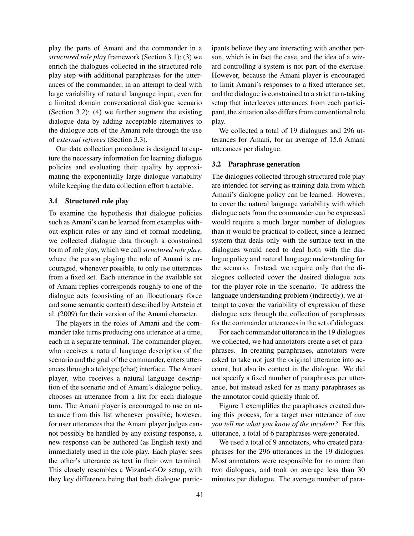play the parts of Amani and the commander in a *structured role play* framework (Section 3.1); (3) we enrich the dialogues collected in the structured role play step with additional paraphrases for the utterances of the commander, in an attempt to deal with large variability of natural language input, even for a limited domain conversational dialogue scenario (Section 3.2); (4) we further augment the existing dialogue data by adding acceptable alternatives to the dialogue acts of the Amani role through the use of *external referees* (Section 3.3).

Our data collection procedure is designed to capture the necessary information for learning dialogue policies and evaluating their quality by approximating the exponentially large dialogue variability while keeping the data collection effort tractable.

#### 3.1 Structured role play

To examine the hypothesis that dialogue policies such as Amani's can be learned from examples without explicit rules or any kind of formal modeling, we collected dialogue data through a constrained form of role play, which we call *structured role play*, where the person playing the role of Amani is encouraged, whenever possible, to only use utterances from a fixed set. Each utterance in the available set of Amani replies corresponds roughly to one of the dialogue acts (consisting of an illocutionary force and some semantic content) described by Artstein et al. (2009) for their version of the Amani character.

The players in the roles of Amani and the commander take turns producing one utterance at a time, each in a separate terminal. The commander player, who receives a natural language description of the scenario and the goal of the commander, enters utterances through a teletype (chat) interface. The Amani player, who receives a natural language description of the scenario and of Amani's dialogue policy, chooses an utterance from a list for each dialogue turn. The Amani player is encouraged to use an utterance from this list whenever possible; however, for user utterances that the Amani player judges cannot possibly be handled by any existing response, a new response can be authored (as English text) and immediately used in the role play. Each player sees the other's utterance as text in their own terminal. This closely resembles a Wizard-of-Oz setup, with they key difference being that both dialogue participants believe they are interacting with another person, which is in fact the case, and the idea of a wizard controlling a system is not part of the exercise. However, because the Amani player is encouraged to limit Amani's responses to a fixed utterance set, and the dialogue is constrained to a strict turn-taking setup that interleaves utterances from each participant, the situation also differs from conventional role play.

We collected a total of 19 dialogues and 296 utterances for Amani, for an average of 15.6 Amani utterances per dialogue.

#### 3.2 Paraphrase generation

The dialogues collected through structured role play are intended for serving as training data from which Amani's dialogue policy can be learned. However, to cover the natural language variability with which dialogue acts from the commander can be expressed would require a much larger number of dialogues than it would be practical to collect, since a learned system that deals only with the surface text in the dialogues would need to deal both with the dialogue policy and natural language understanding for the scenario. Instead, we require only that the dialogues collected cover the desired dialogue acts for the player role in the scenario. To address the language understanding problem (indirectly), we attempt to cover the variability of expression of these dialogue acts through the collection of paraphrases for the commander utterances in the set of dialogues.

For each commander utterance in the 19 dialogues we collected, we had annotators create a set of paraphrases. In creating paraphrases, annotators were asked to take not just the original utterance into account, but also its context in the dialogue. We did not specify a fixed number of paraphrases per utterance, but instead asked for as many paraphrases as the annotator could quickly think of.

Figure 1 exemplifies the paraphrases created during this process, for a target user utterance of *can you tell me what you know of the incident?*. For this utterance, a total of 6 paraphrases were generated.

We used a total of 9 annotators, who created paraphrases for the 296 utterances in the 19 dialogues. Most annotators were responsible for no more than two dialogues, and took on average less than 30 minutes per dialogue. The average number of para-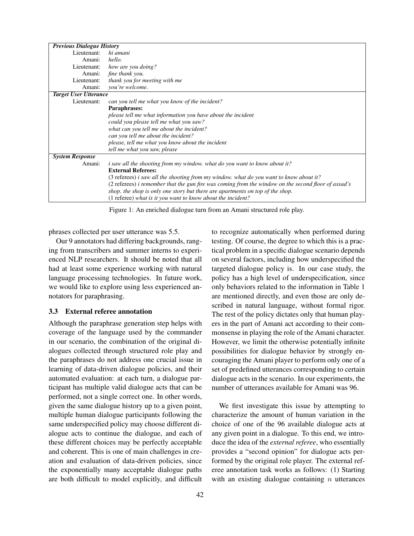| <b>Previous Dialogue History</b> |                                                                                                     |
|----------------------------------|-----------------------------------------------------------------------------------------------------|
| Lieutenant:                      | hi amani                                                                                            |
| Amani:                           | hello.                                                                                              |
| Lieutenant:                      | how are you doing?                                                                                  |
| Amani:                           | fine thank you.                                                                                     |
| Lieutenant:                      | thank you for meeting with me                                                                       |
| Amani:                           | you're welcome.                                                                                     |
| <b>Target User Utterance</b>     |                                                                                                     |
| Lieutenant:                      | can you tell me what you know of the incident?                                                      |
|                                  | Paraphrases:                                                                                        |
|                                  | please tell me what information you have about the incident                                         |
|                                  | could you please tell me what you saw?                                                              |
|                                  | what can you tell me about the incident?                                                            |
|                                  | can you tell me about the incident?                                                                 |
|                                  | please, tell me what you know about the incident                                                    |
|                                  | tell me what you saw, please                                                                        |
| <b>System Response</b>           |                                                                                                     |
| Amani:                           | <i>i</i> saw all the shooting from my window, what do you want to know about it?                    |
|                                  | <b>External Referees:</b>                                                                           |
|                                  | (3 referees) <i>i saw all the shooting from my window, what do you want to know about it?</i>       |
|                                  | (2 referees) i remember that the gun fire was coming from the window on the second floor of assad's |
|                                  | shop, the shop is only one story but there are apartments on top of the shop.                       |
|                                  | (1 referee) what is it you want to know about the incident?                                         |

Figure 1: An enriched dialogue turn from an Amani structured role play.

phrases collected per user utterance was 5.5.

Our 9 annotators had differing backgrounds, ranging from transcribers and summer interns to experienced NLP researchers. It should be noted that all had at least some experience working with natural language processing technologies. In future work, we would like to explore using less experienced annotators for paraphrasing.

### 3.3 External referee annotation

Although the paraphrase generation step helps with coverage of the language used by the commander in our scenario, the combination of the original dialogues collected through structured role play and the paraphrases do not address one crucial issue in learning of data-driven dialogue policies, and their automated evaluation: at each turn, a dialogue participant has multiple valid dialogue acts that can be performed, not a single correct one. In other words, given the same dialogue history up to a given point, multiple human dialogue participants following the same underspecified policy may choose different dialogue acts to continue the dialogue, and each of these different choices may be perfectly acceptable and coherent. This is one of main challenges in creation and evaluation of data-driven policies, since the exponentially many acceptable dialogue paths are both difficult to model explicitly, and difficult to recognize automatically when performed during testing. Of course, the degree to which this is a practical problem in a specific dialogue scenario depends on several factors, including how underspecified the targeted dialogue policy is. In our case study, the policy has a high level of underspecification, since only behaviors related to the information in Table 1 are mentioned directly, and even those are only described in natural language, without formal rigor. The rest of the policy dictates only that human players in the part of Amani act according to their commonsense in playing the role of the Amani character. However, we limit the otherwise potentially infinite possibilities for dialogue behavior by strongly encouraging the Amani player to perform only one of a set of predefined utterances corresponding to certain dialogue acts in the scenario. In our experiments, the number of utterances available for Amani was 96.

We first investigate this issue by attempting to characterize the amount of human variation in the choice of one of the 96 available dialogue acts at any given point in a dialogue. To this end, we introduce the idea of the *external referee*, who essentially provides a "second opinion" for dialogue acts performed by the original role player. The external referee annotation task works as follows: (1) Starting with an existing dialogue containing  $n$  utterances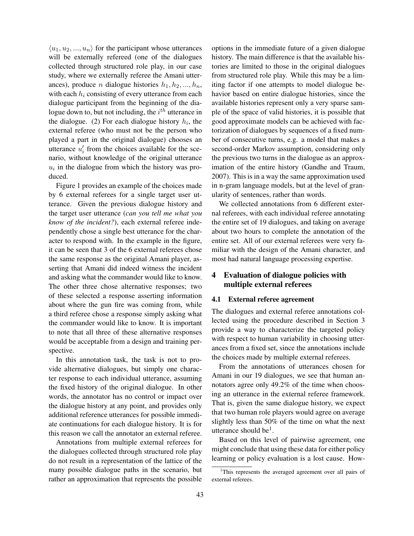$\langle u_1, u_2, ..., u_n \rangle$  for the participant whose utterances will be externally refereed (one of the dialogues collected through structured role play, in our case study, where we externally referee the Amani utterances), produce *n* dialogue histories  $h_1, h_2, ..., h_n$ , with each  $h_i$  consisting of every utterance from each dialogue participant from the beginning of the dialogue down to, but not including, the  $i^{th}$  utterance in the dialogue. (2) For each dialogue history  $h_i$ , the external referee (who must not be the person who played a part in the original dialogue) chooses an utterance  $u'_i$  from the choices available for the scenario, without knowledge of the original utterance  $u_i$  in the dialogue from which the history was produced.

Figure 1 provides an example of the choices made by 6 external referees for a single target user utterance. Given the previous dialogue history and the target user utterance (*can you tell me what you know of the incident?*), each external referee independently chose a single best utterance for the character to respond with. In the example in the figure, it can be seen that 3 of the 6 external referees chose the same response as the original Amani player, asserting that Amani did indeed witness the incident and asking what the commander would like to know. The other three chose alternative responses; two of these selected a response asserting information about where the gun fire was coming from, while a third referee chose a response simply asking what the commander would like to know. It is important to note that all three of these alternative responses would be acceptable from a design and training perspective.

In this annotation task, the task is not to provide alternative dialogues, but simply one character response to each individual utterance, assuming the fixed history of the original dialogue. In other words, the annotator has no control or impact over the dialogue history at any point, and provides only additional reference utterances for possible immediate continuations for each dialogue history. It is for this reason we call the annotator an external referee.

Annotations from multiple external referees for the dialogues collected through structured role play do not result in a representation of the lattice of the many possible dialogue paths in the scenario, but rather an approximation that represents the possible options in the immediate future of a given dialogue history. The main difference is that the available histories are limited to those in the original dialogues from structured role play. While this may be a limiting factor if one attempts to model dialogue behavior based on entire dialogue histories, since the available histories represent only a very sparse sample of the space of valid histories, it is possible that good approximate models can be achieved with factorization of dialogues by sequences of a fixed number of consecutive turns, e.g. a model that makes a second-order Markov assumption, considering only the previous two turns in the dialogue as an approximation of the entire history (Gandhe and Traum, 2007). This is in a way the same approximation used in n-gram language models, but at the level of granularity of sentences, rather than words.

We collected annotations from 6 different external referees, with each individual referee annotating the entire set of 19 dialogues, and taking on average about two hours to complete the annotation of the entire set. All of our external referees were very familiar with the design of the Amani character, and most had natural language processing expertise.

# 4 Evaluation of dialogue policies with multiple external referees

#### 4.1 External referee agreement

The dialogues and external referee annotations collected using the procedure described in Section 3 provide a way to characterize the targeted policy with respect to human variability in choosing utterances from a fixed set, since the annotations include the choices made by multiple external referees.

From the annotations of utterances chosen for Amani in our 19 dialogues, we see that human annotators agree only 49.2% of the time when choosing an utterance in the external referee framework. That is, given the same dialogue history, we expect that two human role players would agree on average slightly less than 50% of the time on what the next utterance should be<sup>1</sup>.

Based on this level of pairwise agreement, one might conclude that using these data for either policy learning or policy evaluation is a lost cause. How-

<sup>&</sup>lt;sup>1</sup>This represents the averaged agreement over all pairs of external referees.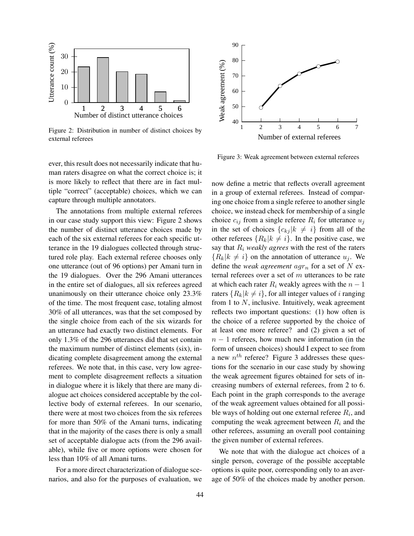

Figure 2: Distribution in number of distinct choices by external referees

ever, this result does not necessarily indicate that human raters disagree on what the correct choice is; it is more likely to reflect that there are in fact multiple "correct" (acceptable) choices, which we can capture through multiple annotators.

The annotations from multiple external referees in our case study support this view: Figure 2 shows the number of distinct utterance choices made by each of the six external referees for each specific utterance in the 19 dialogues collected through structured role play. Each external referee chooses only one utterance (out of 96 options) per Amani turn in the 19 dialogues. Over the 296 Amani utterances in the entire set of dialogues, all six referees agreed unanimously on their utterance choice only 23.3% of the time. The most frequent case, totaling almost 30% of all utterances, was that the set composed by the single choice from each of the six wizards for an utterance had exactly two distinct elements. For only 1.3% of the 296 utterances did that set contain the maximum number of distinct elements (six), indicating complete disagreement among the external referees. We note that, in this case, very low agreement to complete disagreement reflects a situation in dialogue where it is likely that there are many dialogue act choices considered acceptable by the collective body of external referees. In our scenario, there were at most two choices from the six referees for more than 50% of the Amani turns, indicating that in the majority of the cases there is only a small set of acceptable dialogue acts (from the 296 available), while five or more options were chosen for less than 10% of all Amani turns.

For a more direct characterization of dialogue scenarios, and also for the purposes of evaluation, we



Figure 3: Weak agreement between external referees

now define a metric that reflects overall agreement in a group of external referees. Instead of comparing one choice from a single referee to another single choice, we instead check for membership of a single choice  $c_{ij}$  from a single referee  $R_i$  for utterance  $u_j$ in the set of choices  ${c_{kj}} k \neq i$  from all of the other referees  $\{R_k | k \neq i\}$ . In the positive case, we say that  $R_i$  *weakly agrees* with the rest of the raters  ${R_k|k \neq i}$  on the annotation of utterance  $u_j$ . We define the *weak agreement*  $aqr_n$  for a set of N external referees over a set of m utterances to be rate at which each rater  $R_i$  weakly agrees with the  $n-1$ raters  $\{R_k | k \neq i\}$ , for all integer values of i ranging from 1 to  $N$ , inclusive. Intuitively, weak agreement reflects two important questions: (1) how often is the choice of a referee supported by the choice of at least one more referee? and (2) given a set of  $n - 1$  referees, how much new information (in the form of unseen choices) should I expect to see from a new  $n^{th}$  referee? Figure 3 addresses these questions for the scenario in our case study by showing the weak agreement figures obtained for sets of increasing numbers of external referees, from 2 to 6. Each point in the graph corresponds to the average of the weak agreement values obtained for all possible ways of holding out one external referee  $R_i$ , and computing the weak agreement between  $R_i$  and the other referees, assuming an overall pool containing the given number of external referees.

We note that with the dialogue act choices of a single person, coverage of the possible acceptable options is quite poor, corresponding only to an average of 50% of the choices made by another person.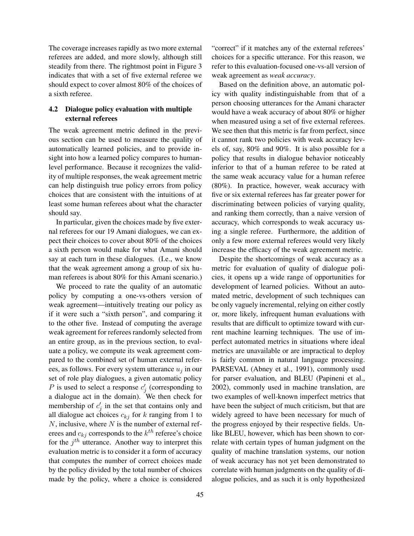The coverage increases rapidly as two more external referees are added, and more slowly, although still steadily from there. The rightmost point in Figure 3 indicates that with a set of five external referee we should expect to cover almost 80% of the choices of a sixth referee.

# 4.2 Dialogue policy evaluation with multiple external referees

The weak agreement metric defined in the previous section can be used to measure the quality of automatically learned policies, and to provide insight into how a learned policy compares to humanlevel performance. Because it recognizes the validity of multiple responses, the weak agreement metric can help distinguish true policy errors from policy choices that are consistent with the intuitions of at least some human referees about what the character should say.

In particular, given the choices made by five external referees for our 19 Amani dialogues, we can expect their choices to cover about 80% of the choices a sixth person would make for what Amani should say at each turn in these dialogues. (I.e., we know that the weak agreement among a group of six human referees is about 80% for this Amani scenario.)

We proceed to rate the quality of an automatic policy by computing a one-vs-others version of weak agreement—intuitively treating our policy as if it were such a "sixth person", and comparing it to the other five. Instead of computing the average weak agreement for referees randomly selected from an entire group, as in the previous section, to evaluate a policy, we compute its weak agreement compared to the combined set of human external referees, as follows. For every system utterance  $u_i$  in our set of role play dialogues, a given automatic policy P is used to select a response  $c_j'$  (corresponding to a dialogue act in the domain). We then check for membership of  $c_j'$  in the set that contains only and all dialogue act choices  $c_{kj}$  for k ranging from 1 to  $N$ , inclusive, where  $N$  is the number of external referees and  $c_{kj}$  corresponds to the  $k^{th}$  referee's choice for the  $j<sup>th</sup>$  utterance. Another way to interpret this evaluation metric is to consider it a form of accuracy that computes the number of correct choices made by the policy divided by the total number of choices made by the policy, where a choice is considered "correct" if it matches any of the external referees' choices for a specific utterance. For this reason, we refer to this evaluation-focused one-vs-all version of weak agreement as *weak accuracy*.

Based on the definition above, an automatic policy with quality indistinguishable from that of a person choosing utterances for the Amani character would have a weak accuracy of about 80% or higher when measured using a set of five external referees. We see then that this metric is far from perfect, since it cannot rank two policies with weak accuracy levels of, say, 80% and 90%. It is also possible for a policy that results in dialogue behavior noticeably inferior to that of a human referee to be rated at the same weak accuracy value for a human referee (80%). In practice, however, weak accuracy with five or six external referees has far greater power for discriminating between policies of varying quality, and ranking them correctly, than a naive version of accuracy, which corresponds to weak accuracy using a single referee. Furthermore, the addition of only a few more external referees would very likely increase the efficacy of the weak agreement metric.

Despite the shortcomings of weak accuracy as a metric for evaluation of quality of dialogue policies, it opens up a wide range of opportunities for development of learned policies. Without an automated metric, development of such techniques can be only vaguely incremental, relying on either costly or, more likely, infrequent human evaluations with results that are difficult to optimize toward with current machine learning techniques. The use of imperfect automated metrics in situations where ideal metrics are unavailable or are impractical to deploy is fairly common in natural language processing. PARSEVAL (Abney et al., 1991), commonly used for parser evaluation, and BLEU (Papineni et al., 2002), commonly used in machine translation, are two examples of well-known imperfect metrics that have been the subject of much criticism, but that are widely agreed to have been necessary for much of the progress enjoyed by their respective fields. Unlike BLEU, however, which has been shown to correlate with certain types of human judgment on the quality of machine translation systems, our notion of weak accuracy has not yet been demonstrated to correlate with human judgments on the quality of dialogue policies, and as such it is only hypothesized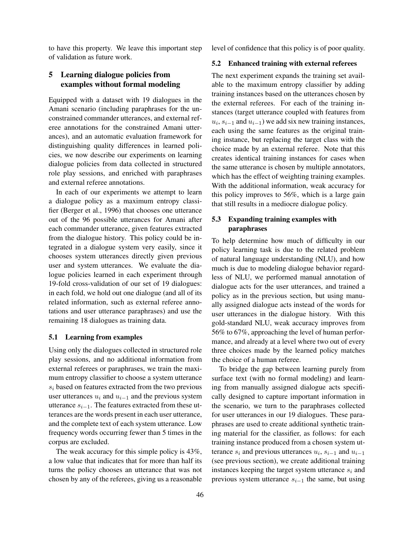to have this property. We leave this important step of validation as future work.

# 5 Learning dialogue policies from examples without formal modeling

Equipped with a dataset with 19 dialogues in the Amani scenario (including paraphrases for the unconstrained commander utterances, and external referee annotations for the constrained Amani utterances), and an automatic evaluation framework for distinguishing quality differences in learned policies, we now describe our experiments on learning dialogue policies from data collected in structured role play sessions, and enriched with paraphrases and external referee annotations.

In each of our experiments we attempt to learn a dialogue policy as a maximum entropy classifier (Berger et al., 1996) that chooses one utterance out of the 96 possible utterances for Amani after each commander utterance, given features extracted from the dialogue history. This policy could be integrated in a dialogue system very easily, since it chooses system utterances directly given previous user and system utterances. We evaluate the dialogue policies learned in each experiment through 19-fold cross-validation of our set of 19 dialogues: in each fold, we hold out one dialogue (and all of its related information, such as external referee annotations and user utterance paraphrases) and use the remaining 18 dialogues as training data.

### 5.1 Learning from examples

Using only the dialogues collected in structured role play sessions, and no additional information from external referees or paraphrases, we train the maximum entropy classifier to choose a system utterance  $s_i$  based on features extracted from the two previous user utterances  $u_i$  and  $u_{i-1}$  and the previous system utterance  $s_{i-1}$ . The features extracted from these utterances are the words present in each user utterance, and the complete text of each system utterance. Low frequency words occurring fewer than 5 times in the corpus are excluded.

The weak accuracy for this simple policy is 43%, a low value that indicates that for more than half its turns the policy chooses an utterance that was not chosen by any of the referees, giving us a reasonable level of confidence that this policy is of poor quality.

#### 5.2 Enhanced training with external referees

The next experiment expands the training set available to the maximum entropy classifier by adding training instances based on the utterances chosen by the external referees. For each of the training instances (target utterance coupled with features from  $u_i, s_{i-1}$  and  $u_{i-1}$ ) we add six new training instances, each using the same features as the original training instance, but replacing the target class with the choice made by an external referee. Note that this creates identical training instances for cases when the same utterance is chosen by multiple annotators, which has the effect of weighting training examples. With the additional information, weak accuracy for this policy improves to 56%, which is a large gain that still results in a mediocre dialogue policy.

# 5.3 Expanding training examples with paraphrases

To help determine how much of difficulty in our policy learning task is due to the related problem of natural language understanding (NLU), and how much is due to modeling dialogue behavior regardless of NLU, we performed manual annotation of dialogue acts for the user utterances, and trained a policy as in the previous section, but using manually assigned dialogue acts instead of the words for user utterances in the dialogue history. With this gold-standard NLU, weak accuracy improves from 56% to 67%, approaching the level of human performance, and already at a level where two out of every three choices made by the learned policy matches the choice of a human referee.

To bridge the gap between learning purely from surface text (with no formal modeling) and learning from manually assigned dialogue acts specifically designed to capture important information in the scenario, we turn to the paraphrases collected for user utterances in our 19 dialogues. These paraphrases are used to create additional synthetic training material for the classifier, as follows: for each training instance produced from a chosen system utterance  $s_i$  and previous utterances  $u_i$ ,  $s_{i-1}$  and  $u_{i-1}$ (see previous section), we create additional training instances keeping the target system utterance  $s_i$  and previous system utterance  $s_{i-1}$  the same, but using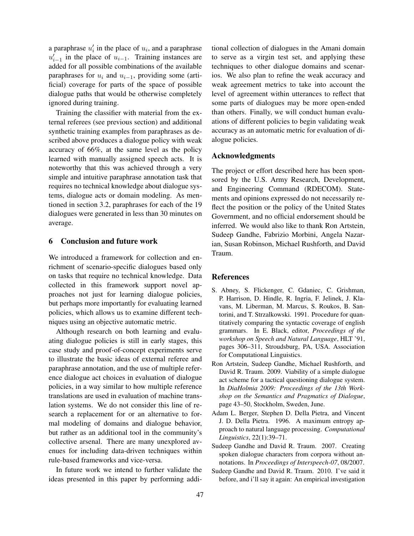a paraphrase  $u'_i$  in the place of  $u_i$ , and a paraphrase  $u'_{i-1}$  in the place of  $u_{i-1}$ . Training instances are added for all possible combinations of the available paraphrases for  $u_i$  and  $u_{i-1}$ , providing some (artificial) coverage for parts of the space of possible dialogue paths that would be otherwise completely ignored during training.

Training the classifier with material from the external referees (see previous section) and additional synthetic training examples from paraphrases as described above produces a dialogue policy with weak accuracy of 66%, at the same level as the policy learned with manually assigned speech acts. It is noteworthy that this was achieved through a very simple and intuitive paraphrase annotation task that requires no technical knowledge about dialogue systems, dialogue acts or domain modeling. As mentioned in section 3.2, paraphrases for each of the 19 dialogues were generated in less than 30 minutes on average.

## 6 Conclusion and future work

We introduced a framework for collection and enrichment of scenario-specific dialogues based only on tasks that require no technical knowledge. Data collected in this framework support novel approaches not just for learning dialogue policies, but perhaps more importantly for evaluating learned policies, which allows us to examine different techniques using an objective automatic metric.

Although research on both learning and evaluating dialogue policies is still in early stages, this case study and proof-of-concept experiments serve to illustrate the basic ideas of external referee and paraphrase annotation, and the use of multiple reference dialogue act choices in evaluation of dialogue policies, in a way similar to how multiple reference translations are used in evaluation of machine translation systems. We do not consider this line of research a replacement for or an alternative to formal modeling of domains and dialogue behavior, but rather as an additional tool in the community's collective arsenal. There are many unexplored avenues for including data-driven techniques within rule-based frameworks and vice-versa.

In future work we intend to further validate the ideas presented in this paper by performing additional collection of dialogues in the Amani domain to serve as a virgin test set, and applying these techniques to other dialogue domains and scenarios. We also plan to refine the weak accuracy and weak agreement metrics to take into account the level of agreement within utterances to reflect that some parts of dialogues may be more open-ended than others. Finally, we will conduct human evaluations of different policies to begin validating weak accuracy as an automatic metric for evaluation of dialogue policies.

## Acknowledgments

The project or effort described here has been sponsored by the U.S. Army Research, Development, and Engineering Command (RDECOM). Statements and opinions expressed do not necessarily reflect the position or the policy of the United States Government, and no official endorsement should be inferred. We would also like to thank Ron Artstein, Sudeep Gandhe, Fabrizio Morbini, Angela Nazarian, Susan Robinson, Michael Rushforth, and David Traum.

#### References

- S. Abney, S. Flickenger, C. Gdaniec, C. Grishman, P. Harrison, D. Hindle, R. Ingria, F. Jelinek, J. Klavans, M. Liberman, M. Marcus, S. Roukos, B. Santorini, and T. Strzalkowski. 1991. Procedure for quantitatively comparing the syntactic coverage of english grammars. In E. Black, editor, *Proceedings of the workshop on Speech and Natural Language*, HLT '91, pages 306–311, Stroudsburg, PA, USA. Association for Computational Linguistics.
- Ron Artstein, Sudeep Gandhe, Michael Rushforth, and David R. Traum. 2009. Viability of a simple dialogue act scheme for a tactical questioning dialogue system. In *DiaHolmia 2009: Proceedings of the 13th Workshop on the Semantics and Pragmatics of Dialogue*, page 43–50, Stockholm, Sweden, June.
- Adam L. Berger, Stephen D. Della Pietra, and Vincent J. D. Della Pietra. 1996. A maximum entropy approach to natural language processing. *Computational Linguistics*, 22(1):39–71.
- Sudeep Gandhe and David R. Traum. 2007. Creating spoken dialogue characters from corpora without annotations. In *Proceedings of Interspeech-07*, 08/2007.
- Sudeep Gandhe and David R. Traum. 2010. I've said it before, and i'll say it again: An empirical investigation